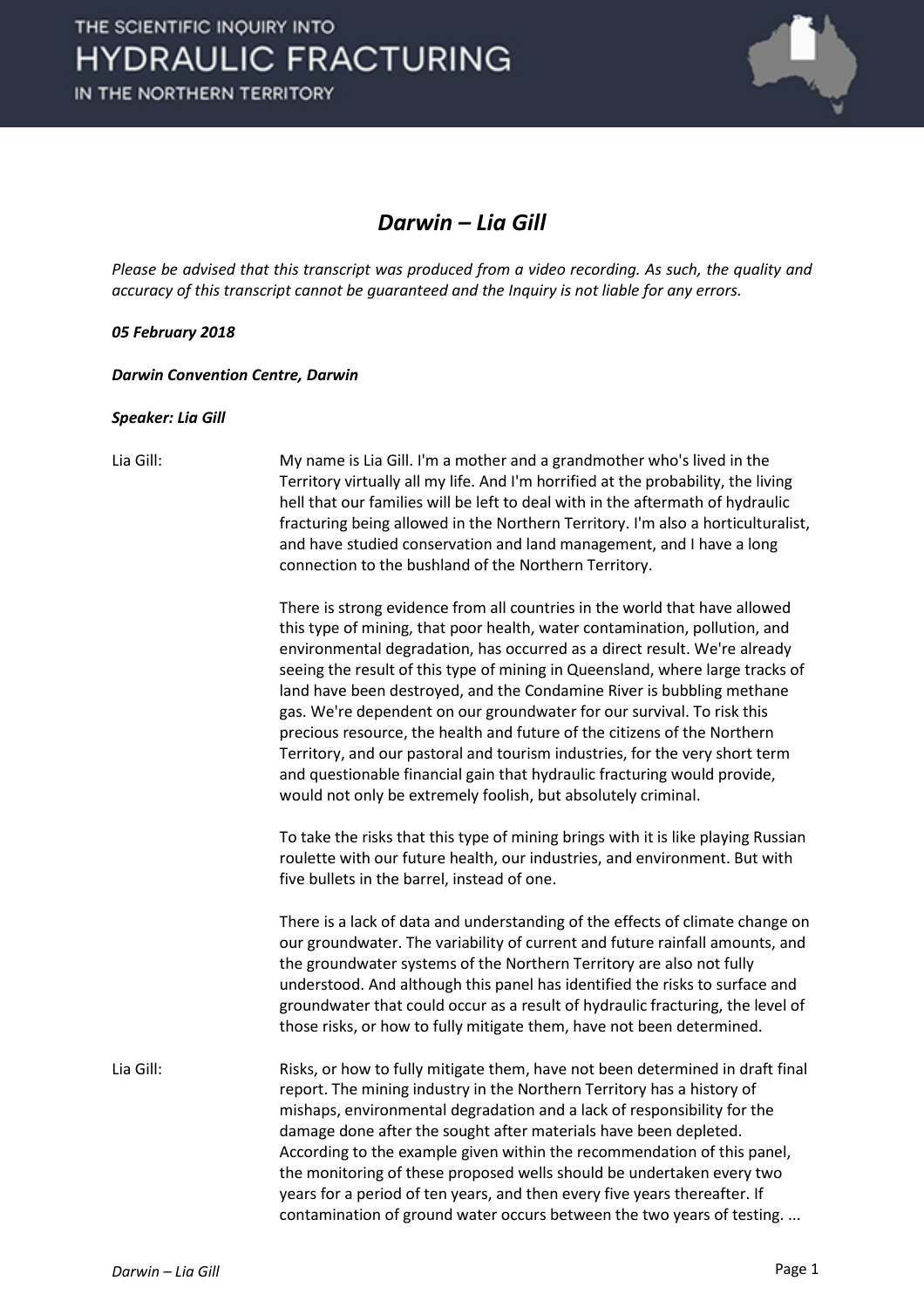

### *Darwin – Lia Gill*

*Please be advised that this transcript was produced from a video recording. As such, the quality and accuracy of this transcript cannot be guaranteed and the Inquiry is not liable for any errors.*

### *05 February 2018*

*Darwin Convention Centre, Darwin* 

#### *Speaker: Lia Gill*

Lia Gill: My name is Lia Gill. I'm a mother and a grandmother who's lived in the Territory virtually all my life. And I'm horrified at the probability, the living hell that our families will be left to deal with in the aftermath of hydraulic fracturing being allowed in the Northern Territory. I'm also a horticulturalist, and have studied conservation and land management, and I have a long connection to the bushland of the Northern Territory.

> There is strong evidence from all countries in the world that have allowed this type of mining, that poor health, water contamination, pollution, and environmental degradation, has occurred as a direct result. We're already seeing the result of this type of mining in Queensland, where large tracks of land have been destroyed, and the Condamine River is bubbling methane gas. We're dependent on our groundwater for our survival. To risk this precious resource, the health and future of the citizens of the Northern Territory, and our pastoral and tourism industries, for the very short term and questionable financial gain that hydraulic fracturing would provide, would not only be extremely foolish, but absolutely criminal.

> To take the risks that this type of mining brings with it is like playing Russian roulette with our future health, our industries, and environment. But with five bullets in the barrel, instead of one.

> There is a lack of data and understanding of the effects of climate change on our groundwater. The variability of current and future rainfall amounts, and the groundwater systems of the Northern Territory are also not fully understood. And although this panel has identified the risks to surface and groundwater that could occur as a result of hydraulic fracturing, the level of those risks, or how to fully mitigate them, have not been determined.

Lia Gill: Risks, or how to fully mitigate them, have not been determined in draft final report. The mining industry in the Northern Territory has a history of mishaps, environmental degradation and a lack of responsibility for the damage done after the sought after materials have been depleted. According to the example given within the recommendation of this panel, the monitoring of these proposed wells should be undertaken every two years for a period of ten years, and then every five years thereafter. If contamination of ground water occurs between the two years of testing. ...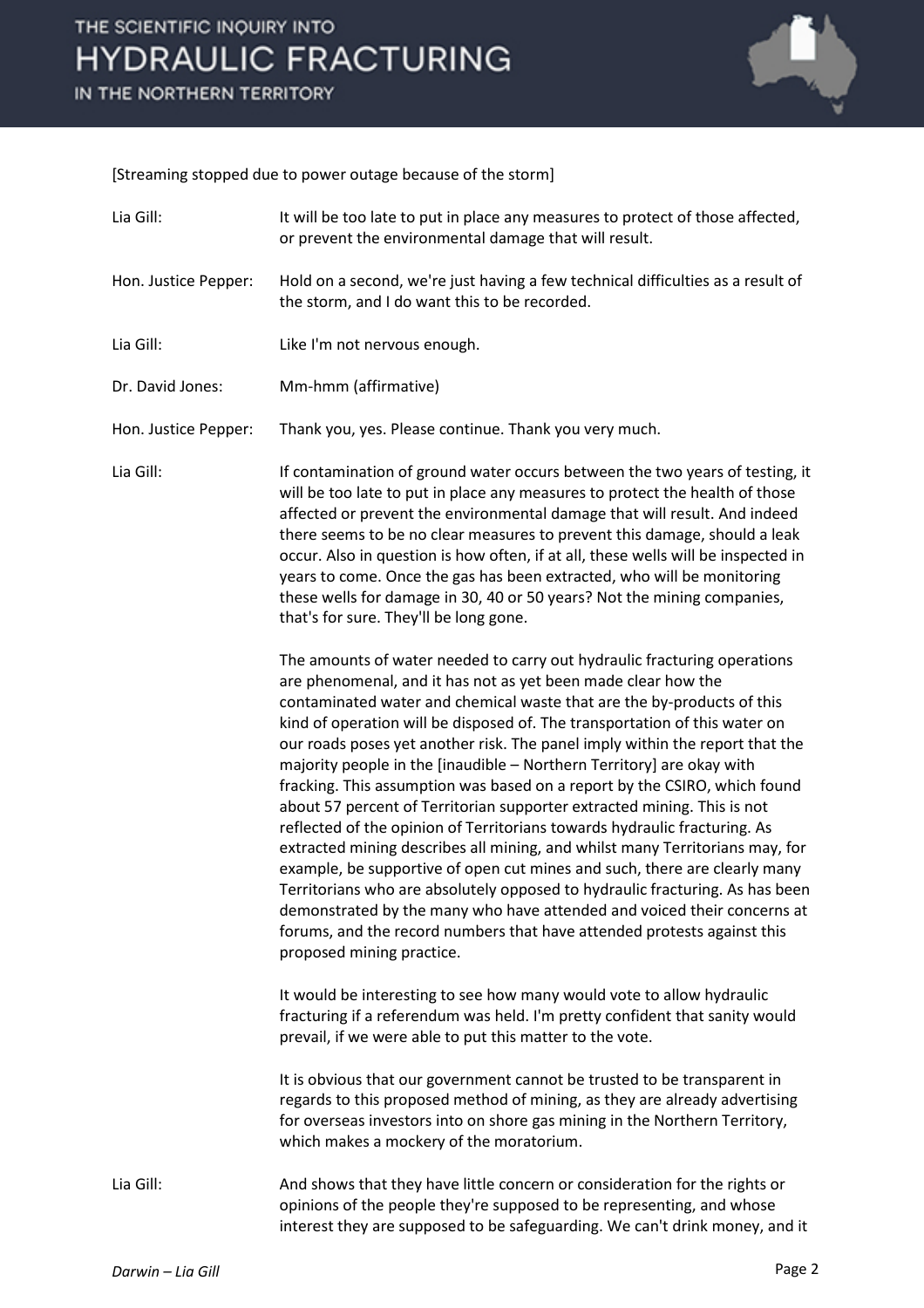# THE SCIENTIFIC INQUIRY INTO **HYDRAULIC FRACTURING**

IN THE NORTHERN TERRITORY



[Streaming stopped due to power outage because of the storm]

| Lia Gill:            | It will be too late to put in place any measures to protect of those affected,<br>or prevent the environmental damage that will result.                                                                                                                                                                                                                                                                                                                                                                                                                                                                                                                                                                                                                                                                                                                                                                                                                                                                                                                                                                                         |
|----------------------|---------------------------------------------------------------------------------------------------------------------------------------------------------------------------------------------------------------------------------------------------------------------------------------------------------------------------------------------------------------------------------------------------------------------------------------------------------------------------------------------------------------------------------------------------------------------------------------------------------------------------------------------------------------------------------------------------------------------------------------------------------------------------------------------------------------------------------------------------------------------------------------------------------------------------------------------------------------------------------------------------------------------------------------------------------------------------------------------------------------------------------|
| Hon. Justice Pepper: | Hold on a second, we're just having a few technical difficulties as a result of<br>the storm, and I do want this to be recorded.                                                                                                                                                                                                                                                                                                                                                                                                                                                                                                                                                                                                                                                                                                                                                                                                                                                                                                                                                                                                |
| Lia Gill:            | Like I'm not nervous enough.                                                                                                                                                                                                                                                                                                                                                                                                                                                                                                                                                                                                                                                                                                                                                                                                                                                                                                                                                                                                                                                                                                    |
| Dr. David Jones:     | Mm-hmm (affirmative)                                                                                                                                                                                                                                                                                                                                                                                                                                                                                                                                                                                                                                                                                                                                                                                                                                                                                                                                                                                                                                                                                                            |
| Hon. Justice Pepper: | Thank you, yes. Please continue. Thank you very much.                                                                                                                                                                                                                                                                                                                                                                                                                                                                                                                                                                                                                                                                                                                                                                                                                                                                                                                                                                                                                                                                           |
| Lia Gill:            | If contamination of ground water occurs between the two years of testing, it<br>will be too late to put in place any measures to protect the health of those<br>affected or prevent the environmental damage that will result. And indeed<br>there seems to be no clear measures to prevent this damage, should a leak<br>occur. Also in question is how often, if at all, these wells will be inspected in<br>years to come. Once the gas has been extracted, who will be monitoring<br>these wells for damage in 30, 40 or 50 years? Not the mining companies,<br>that's for sure. They'll be long gone.                                                                                                                                                                                                                                                                                                                                                                                                                                                                                                                      |
|                      | The amounts of water needed to carry out hydraulic fracturing operations<br>are phenomenal, and it has not as yet been made clear how the<br>contaminated water and chemical waste that are the by-products of this<br>kind of operation will be disposed of. The transportation of this water on<br>our roads poses yet another risk. The panel imply within the report that the<br>majority people in the [inaudible - Northern Territory] are okay with<br>fracking. This assumption was based on a report by the CSIRO, which found<br>about 57 percent of Territorian supporter extracted mining. This is not<br>reflected of the opinion of Territorians towards hydraulic fracturing. As<br>extracted mining describes all mining, and whilst many Territorians may, for<br>example, be supportive of open cut mines and such, there are clearly many<br>Territorians who are absolutely opposed to hydraulic fracturing. As has been<br>demonstrated by the many who have attended and voiced their concerns at<br>forums, and the record numbers that have attended protests against this<br>proposed mining practice. |
|                      | It would be interesting to see how many would vote to allow hydraulic<br>fracturing if a referendum was held. I'm pretty confident that sanity would<br>prevail, if we were able to put this matter to the vote.                                                                                                                                                                                                                                                                                                                                                                                                                                                                                                                                                                                                                                                                                                                                                                                                                                                                                                                |
|                      | It is obvious that our government cannot be trusted to be transparent in<br>regards to this proposed method of mining, as they are already advertising<br>for overseas investors into on shore gas mining in the Northern Territory,<br>which makes a mockery of the moratorium.                                                                                                                                                                                                                                                                                                                                                                                                                                                                                                                                                                                                                                                                                                                                                                                                                                                |
| Lia Gill:            | And shows that they have little concern or consideration for the rights or<br>opinions of the people they're supposed to be representing, and whose<br>interest they are supposed to be safeguarding. We can't drink money, and it                                                                                                                                                                                                                                                                                                                                                                                                                                                                                                                                                                                                                                                                                                                                                                                                                                                                                              |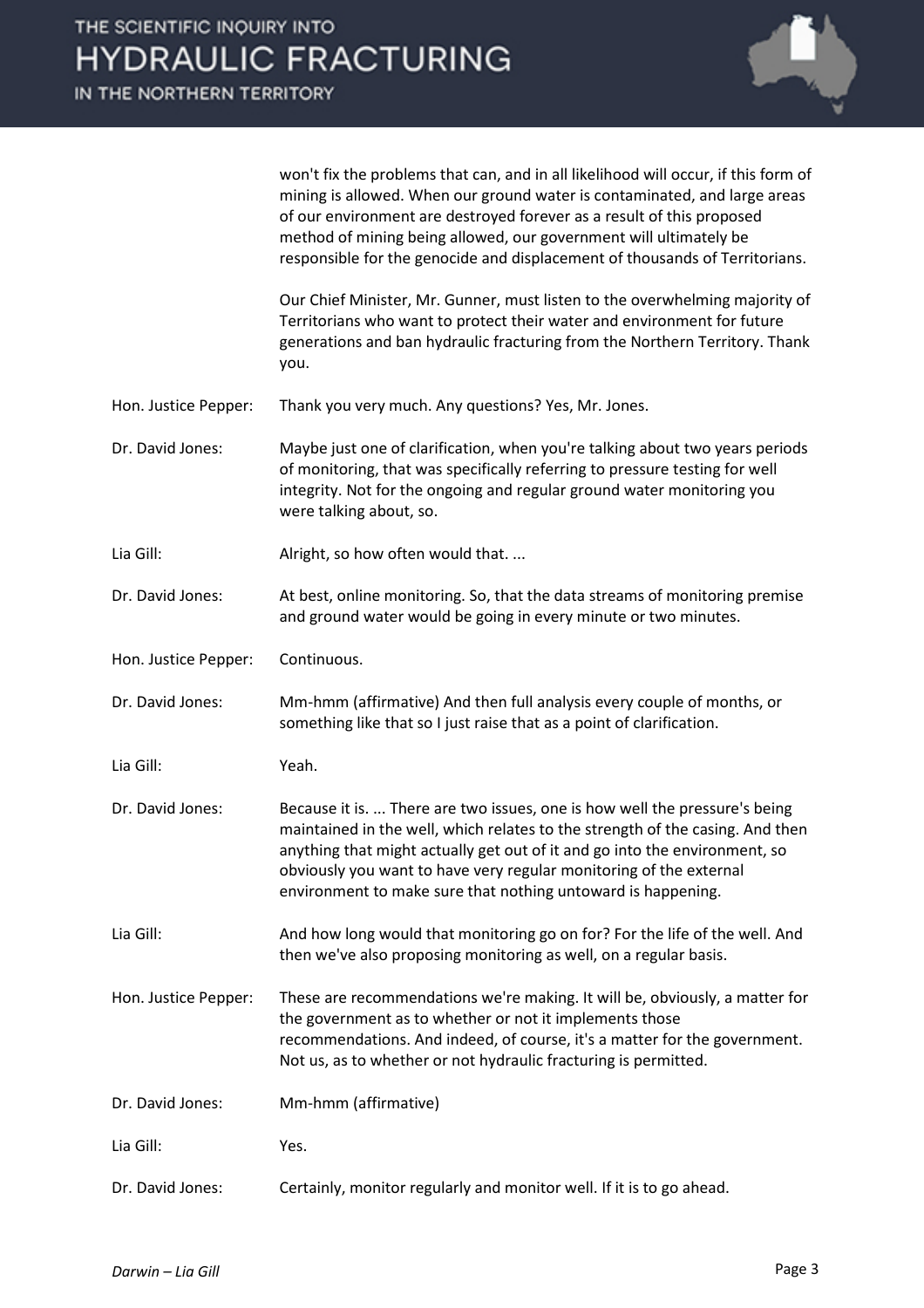

won't fix the problems that can, and in all likelihood will occur, if this form of mining is allowed. When our ground water is contaminated, and large areas of our environment are destroyed forever as a result of this proposed method of mining being allowed, our government will ultimately be responsible for the genocide and displacement of thousands of Territorians.

Our Chief Minister, Mr. Gunner, must listen to the overwhelming majority of Territorians who want to protect their water and environment for future generations and ban hydraulic fracturing from the Northern Territory. Thank you.

- Hon. Justice Pepper: Thank you very much. Any questions? Yes, Mr. Jones.
- Dr. David Jones: Maybe just one of clarification, when you're talking about two years periods of monitoring, that was specifically referring to pressure testing for well integrity. Not for the ongoing and regular ground water monitoring you were talking about, so.
- Lia Gill: Alright, so how often would that....
- Dr. David Jones: At best, online monitoring. So, that the data streams of monitoring premise and ground water would be going in every minute or two minutes.
- Hon. Justice Pepper: Continuous.
- Dr. David Jones: Mm-hmm (affirmative) And then full analysis every couple of months, or something like that so I just raise that as a point of clarification.
- Lia Gill: Yeah.
- Dr. David Jones: Because it is. ... There are two issues, one is how well the pressure's being maintained in the well, which relates to the strength of the casing. And then anything that might actually get out of it and go into the environment, so obviously you want to have very regular monitoring of the external environment to make sure that nothing untoward is happening.
- Lia Gill: And how long would that monitoring go on for? For the life of the well. And then we've also proposing monitoring as well, on a regular basis.
- Hon. Justice Pepper: These are recommendations we're making. It will be, obviously, a matter for the government as to whether or not it implements those recommendations. And indeed, of course, it's a matter for the government. Not us, as to whether or not hydraulic fracturing is permitted.
- Dr. David Jones: Mm-hmm (affirmative)
- Lia Gill: Yes.
- Dr. David Jones: Certainly, monitor regularly and monitor well. If it is to go ahead.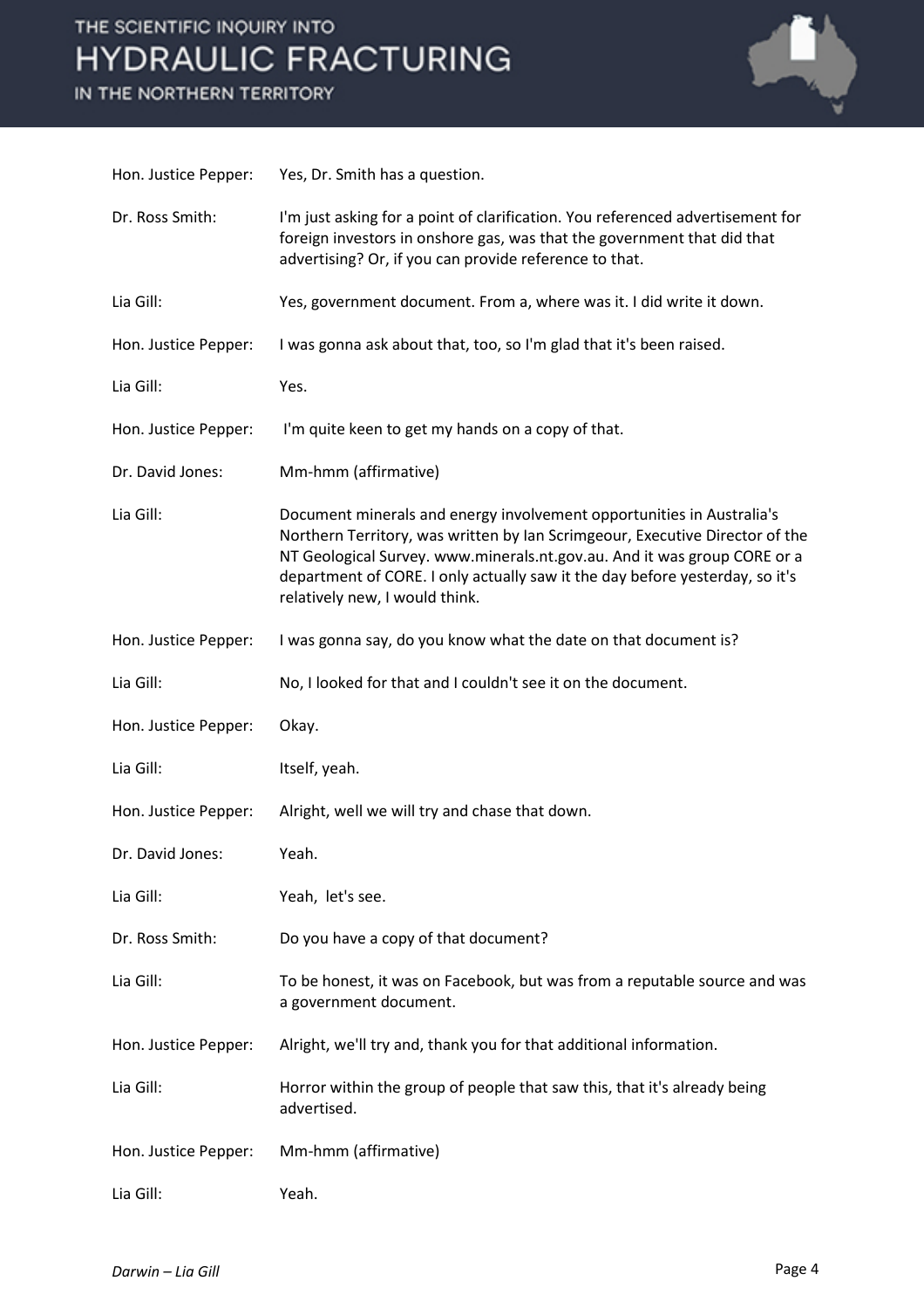# THE SCIENTIFIC INQUIRY INTO **HYDRAULIC FRACTURING**

IN THE NORTHERN TERRITORY



| Hon. Justice Pepper: | Yes, Dr. Smith has a question.                                                                                                                                                                                                                                                                                                                      |
|----------------------|-----------------------------------------------------------------------------------------------------------------------------------------------------------------------------------------------------------------------------------------------------------------------------------------------------------------------------------------------------|
| Dr. Ross Smith:      | I'm just asking for a point of clarification. You referenced advertisement for<br>foreign investors in onshore gas, was that the government that did that<br>advertising? Or, if you can provide reference to that.                                                                                                                                 |
| Lia Gill:            | Yes, government document. From a, where was it. I did write it down.                                                                                                                                                                                                                                                                                |
| Hon. Justice Pepper: | I was gonna ask about that, too, so I'm glad that it's been raised.                                                                                                                                                                                                                                                                                 |
| Lia Gill:            | Yes.                                                                                                                                                                                                                                                                                                                                                |
| Hon. Justice Pepper: | I'm quite keen to get my hands on a copy of that.                                                                                                                                                                                                                                                                                                   |
| Dr. David Jones:     | Mm-hmm (affirmative)                                                                                                                                                                                                                                                                                                                                |
| Lia Gill:            | Document minerals and energy involvement opportunities in Australia's<br>Northern Territory, was written by Ian Scrimgeour, Executive Director of the<br>NT Geological Survey. www.minerals.nt.gov.au. And it was group CORE or a<br>department of CORE. I only actually saw it the day before yesterday, so it's<br>relatively new, I would think. |
| Hon. Justice Pepper: | I was gonna say, do you know what the date on that document is?                                                                                                                                                                                                                                                                                     |
| Lia Gill:            | No, I looked for that and I couldn't see it on the document.                                                                                                                                                                                                                                                                                        |
| Hon. Justice Pepper: | Okay.                                                                                                                                                                                                                                                                                                                                               |
| Lia Gill:            | Itself, yeah.                                                                                                                                                                                                                                                                                                                                       |
| Hon. Justice Pepper: | Alright, well we will try and chase that down.                                                                                                                                                                                                                                                                                                      |
| Dr. David Jones:     | Yeah.                                                                                                                                                                                                                                                                                                                                               |
| Lia Gill:            | Yeah, let's see.                                                                                                                                                                                                                                                                                                                                    |
| Dr. Ross Smith:      | Do you have a copy of that document?                                                                                                                                                                                                                                                                                                                |
| Lia Gill:            | To be honest, it was on Facebook, but was from a reputable source and was<br>a government document.                                                                                                                                                                                                                                                 |
| Hon. Justice Pepper: | Alright, we'll try and, thank you for that additional information.                                                                                                                                                                                                                                                                                  |
| Lia Gill:            | Horror within the group of people that saw this, that it's already being<br>advertised.                                                                                                                                                                                                                                                             |
| Hon. Justice Pepper: | Mm-hmm (affirmative)                                                                                                                                                                                                                                                                                                                                |
| Lia Gill:            | Yeah.                                                                                                                                                                                                                                                                                                                                               |